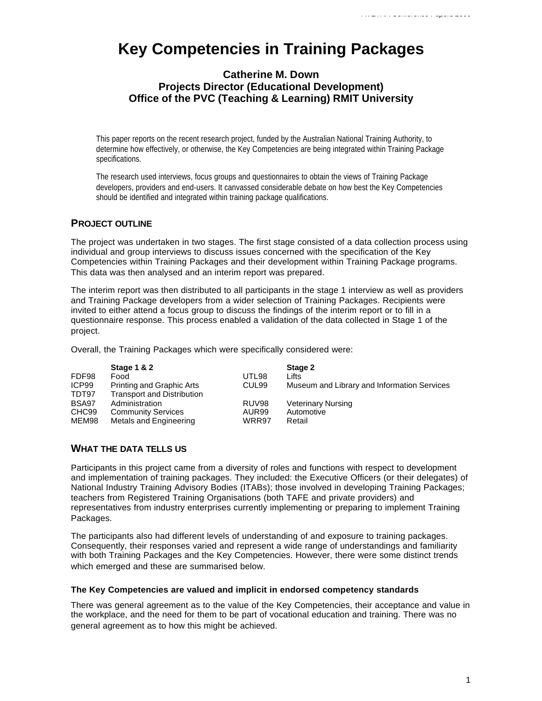# **Key Competencies in Training Packages**

# **Catherine M. Down Projects Director (Educational Development) Office of the PVC (Teaching & Learning) RMIT University**

This paper reports on the recent research project, funded by the Australian National Training Authority, to determine how effectively, or otherwise, the Key Competencies are being integrated within Training Package specifications.

The research used interviews, focus groups and questionnaires to obtain the views of Training Package developers, providers and end-users. It canvassed considerable debate on how best the Key Competencies should be identified and integrated within training package qualifications.

## **PROJECT OUTLINE**

The project was undertaken in two stages. The first stage consisted of a data collection process using individual and group interviews to discuss issues concerned with the specification of the Key Competencies within Training Packages and their development within Training Package programs. This data was then analysed and an interim report was prepared.

The interim report was then distributed to all participants in the stage 1 interview as well as providers and Training Package developers from a wider selection of Training Packages. Recipients were invited to either attend a focus group to discuss the findings of the interim report or to fill in a questionnaire response. This process enabled a validation of the data collected in Stage 1 of the project.

Overall, the Training Packages which were specifically considered were:

|                   | Stage 1 & 2                       |                   | Stage 2                                     |
|-------------------|-----------------------------------|-------------------|---------------------------------------------|
| FDF98             | Food                              | UTL98             | Lifts                                       |
| ICP99             | <b>Printing and Graphic Arts</b>  | CUL <sub>99</sub> | Museum and Library and Information Services |
| TDT97             | <b>Transport and Distribution</b> |                   |                                             |
| BSA97             | Administration                    | RUV98             | <b>Veterinary Nursing</b>                   |
| CHC <sub>99</sub> | <b>Community Services</b>         | AUR99             | Automotive                                  |
| MEM98             | Metals and Engineering            | WRR97             | Retail                                      |

## **WHAT THE DATA TELLS US**

Participants in this project came from a diversity of roles and functions with respect to development and implementation of training packages. They included: the Executive Officers (or their delegates) of National Industry Training Advisory Bodies (ITABs); those involved in developing Training Packages; teachers from Registered Training Organisations (both TAFE and private providers) and representatives from industry enterprises currently implementing or preparing to implement Training Packages.

The participants also had different levels of understanding of and exposure to training packages. Consequently, their responses varied and represent a wide range of understandings and familiarity with both Training Packages and the Key Competencies. However, there were some distinct trends which emerged and these are summarised below.

#### **The Key Competencies are valued and implicit in endorsed competency standards**

There was general agreement as to the value of the Key Competencies, their acceptance and value in the workplace, and the need for them to be part of vocational education and training. There was no general agreement as to how this might be achieved.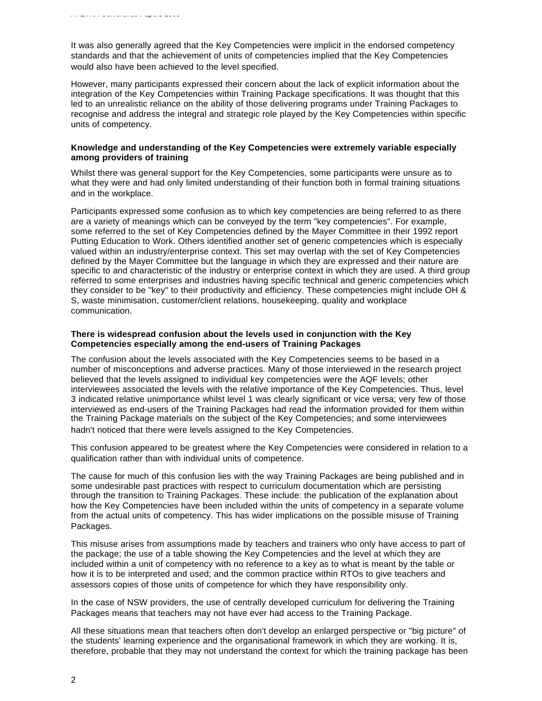It was also generally agreed that the Key Competencies were implicit in the endorsed competency standards and that the achievement of units of competencies implied that the Key Competencies would also have been achieved to the level specified.

However, many participants expressed their concern about the lack of explicit information about the integration of the Key Competencies within Training Package specifications. It was thought that this led to an unrealistic reliance on the ability of those delivering programs under Training Packages to recognise and address the integral and strategic role played by the Key Competencies within specific units of competency.

#### **Knowledge and understanding of the Key Competencies were extremely variable especially among providers of training**

Whilst there was general support for the Key Competencies, some participants were unsure as to what they were and had only limited understanding of their function both in formal training situations and in the workplace.

Participants expressed some confusion as to which key competencies are being referred to as there are a variety of meanings which can be conveyed by the term "key competencies". For example, some referred to the set of Key Competencies defined by the Mayer Committee in their 1992 report Putting Education to Work. Others identified another set of generic competencies which is especially valued within an industry/enterprise context. This set may overlap with the set of Key Competencies defined by the Mayer Committee but the language in which they are expressed and their nature are specific to and characteristic of the industry or enterprise context in which they are used. A third group referred to some enterprises and industries having specific technical and generic competencies which they consider to be "key" to their productivity and efficiency. These competencies might include OH & S, waste minimisation, customer/client relations, housekeeping, quality and workplace communication.

#### **There is widespread confusion about the levels used in conjunction with the Key Competencies especially among the end-users of Training Packages**

The confusion about the levels associated with the Key Competencies seems to be based in a number of misconceptions and adverse practices. Many of those interviewed in the research project believed that the levels assigned to individual key competencies were the AQF levels; other interviewees associated the levels with the relative importance of the Key Competencies. Thus, level 3 indicated relative unimportance whilst level 1 was clearly significant or vice versa; very few of those interviewed as end-users of the Training Packages had read the information provided for them within the Training Package materials on the subject of the Key Competencies; and some interviewees hadn't noticed that there were levels assigned to the Key Competencies.

This confusion appeared to be greatest where the Key Competencies were considered in relation to a qualification rather than with individual units of competence.

The cause for much of this confusion lies with the way Training Packages are being published and in some undesirable past practices with respect to curriculum documentation which are persisting through the transition to Training Packages. These include: the publication of the explanation about how the Key Competencies have been included within the units of competency in a separate volume from the actual units of competency. This has wider implications on the possible misuse of Training Packages.

This misuse arises from assumptions made by teachers and trainers who only have access to part of the package; the use of a table showing the Key Competencies and the level at which they are included within a unit of competency with no reference to a key as to what is meant by the table or how it is to be interpreted and used; and the common practice within RTOs to give teachers and assessors copies of those units of competence for which they have responsibility only.

In the case of NSW providers, the use of centrally developed curriculum for delivering the Training Packages means that teachers may not have ever had access to the Training Package.

All these situations mean that teachers often don't develop an enlarged perspective or "big picture" of the students' learning experience and the organisational framework in which they are working. It is, therefore, probable that they may not understand the context for which the training package has been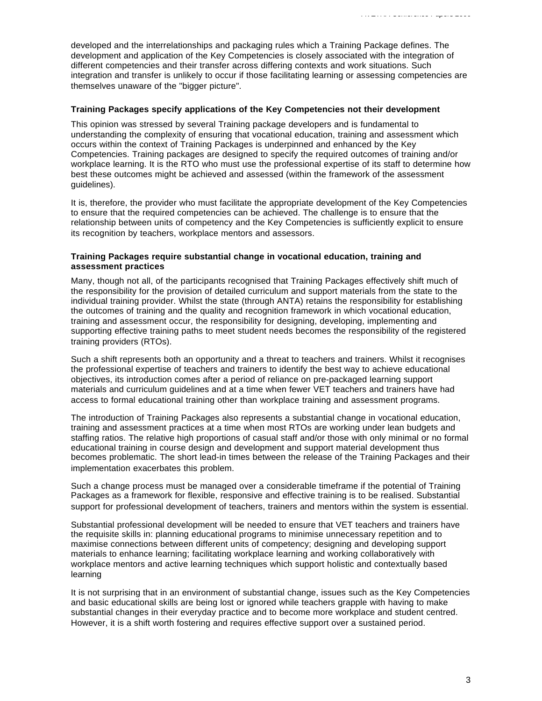developed and the interrelationships and packaging rules which a Training Package defines. The development and application of the Key Competencies is closely associated with the integration of different competencies and their transfer across differing contexts and work situations. Such integration and transfer is unlikely to occur if those facilitating learning or assessing competencies are themselves unaware of the "bigger picture".

#### **Training Packages specify applications of the Key Competencies not their development**

This opinion was stressed by several Training package developers and is fundamental to understanding the complexity of ensuring that vocational education, training and assessment which occurs within the context of Training Packages is underpinned and enhanced by the Key Competencies. Training packages are designed to specify the required outcomes of training and/or workplace learning. It is the RTO who must use the professional expertise of its staff to determine how best these outcomes might be achieved and assessed (within the framework of the assessment guidelines).

It is, therefore, the provider who must facilitate the appropriate development of the Key Competencies to ensure that the required competencies can be achieved. The challenge is to ensure that the relationship between units of competency and the Key Competencies is sufficiently explicit to ensure its recognition by teachers, workplace mentors and assessors.

#### **Training Packages require substantial change in vocational education, training and assessment practices**

Many, though not all, of the participants recognised that Training Packages effectively shift much of the responsibility for the provision of detailed curriculum and support materials from the state to the individual training provider. Whilst the state (through ANTA) retains the responsibility for establishing the outcomes of training and the quality and recognition framework in which vocational education, training and assessment occur, the responsibility for designing, developing, implementing and supporting effective training paths to meet student needs becomes the responsibility of the registered training providers (RTOs).

Such a shift represents both an opportunity and a threat to teachers and trainers. Whilst it recognises the professional expertise of teachers and trainers to identify the best way to achieve educational objectives, its introduction comes after a period of reliance on pre-packaged learning support materials and curriculum guidelines and at a time when fewer VET teachers and trainers have had access to formal educational training other than workplace training and assessment programs.

The introduction of Training Packages also represents a substantial change in vocational education, training and assessment practices at a time when most RTOs are working under lean budgets and staffing ratios. The relative high proportions of casual staff and/or those with only minimal or no formal educational training in course design and development and support material development thus becomes problematic. The short lead-in times between the release of the Training Packages and their implementation exacerbates this problem.

Such a change process must be managed over a considerable timeframe if the potential of Training Packages as a framework for flexible, responsive and effective training is to be realised. Substantial support for professional development of teachers, trainers and mentors within the system is essential.

Substantial professional development will be needed to ensure that VET teachers and trainers have the requisite skills in: planning educational programs to minimise unnecessary repetition and to maximise connections between different units of competency; designing and developing support materials to enhance learning; facilitating workplace learning and working collaboratively with workplace mentors and active learning techniques which support holistic and contextually based learning

It is not surprising that in an environment of substantial change, issues such as the Key Competencies and basic educational skills are being lost or ignored while teachers grapple with having to make substantial changes in their everyday practice and to become more workplace and student centred. However, it is a shift worth fostering and requires effective support over a sustained period.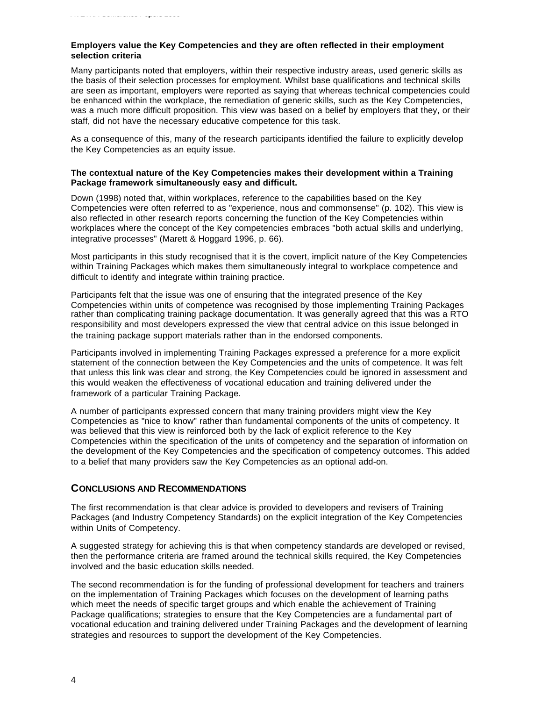#### **Employers value the Key Competencies and they are often reflected in their employment selection criteria**

Many participants noted that employers, within their respective industry areas, used generic skills as the basis of their selection processes for employment. Whilst base qualifications and technical skills are seen as important, employers were reported as saying that whereas technical competencies could be enhanced within the workplace, the remediation of generic skills, such as the Key Competencies, was a much more difficult proposition. This view was based on a belief by employers that they, or their staff, did not have the necessary educative competence for this task.

As a consequence of this, many of the research participants identified the failure to explicitly develop the Key Competencies as an equity issue.

#### **The contextual nature of the Key Competencies makes their development within a Training Package framework simultaneously easy and difficult.**

Down (1998) noted that, within workplaces, reference to the capabilities based on the Key Competencies were often referred to as "experience, nous and commonsense" (p. 102). This view is also reflected in other research reports concerning the function of the Key Competencies within workplaces where the concept of the Key competencies embraces "both actual skills and underlying, integrative processes" (Marett & Hoggard 1996, p. 66).

Most participants in this study recognised that it is the covert, implicit nature of the Key Competencies within Training Packages which makes them simultaneously integral to workplace competence and difficult to identify and integrate within training practice.

Participants felt that the issue was one of ensuring that the integrated presence of the Key Competencies within units of competence was recognised by those implementing Training Packages rather than complicating training package documentation. It was generally agreed that this was a RTO responsibility and most developers expressed the view that central advice on this issue belonged in the training package support materials rather than in the endorsed components.

Participants involved in implementing Training Packages expressed a preference for a more explicit statement of the connection between the Key Competencies and the units of competence. It was felt that unless this link was clear and strong, the Key Competencies could be ignored in assessment and this would weaken the effectiveness of vocational education and training delivered under the framework of a particular Training Package.

A number of participants expressed concern that many training providers might view the Key Competencies as "nice to know" rather than fundamental components of the units of competency. It was believed that this view is reinforced both by the lack of explicit reference to the Key Competencies within the specification of the units of competency and the separation of information on the development of the Key Competencies and the specification of competency outcomes. This added to a belief that many providers saw the Key Competencies as an optional add-on.

## **CONCLUSIONS AND RECOMMENDATIONS**

The first recommendation is that clear advice is provided to developers and revisers of Training Packages (and Industry Competency Standards) on the explicit integration of the Key Competencies within Units of Competency.

A suggested strategy for achieving this is that when competency standards are developed or revised, then the performance criteria are framed around the technical skills required, the Key Competencies involved and the basic education skills needed.

The second recommendation is for the funding of professional development for teachers and trainers on the implementation of Training Packages which focuses on the development of learning paths which meet the needs of specific target groups and which enable the achievement of Training Package qualifications; strategies to ensure that the Key Competencies are a fundamental part of vocational education and training delivered under Training Packages and the development of learning strategies and resources to support the development of the Key Competencies.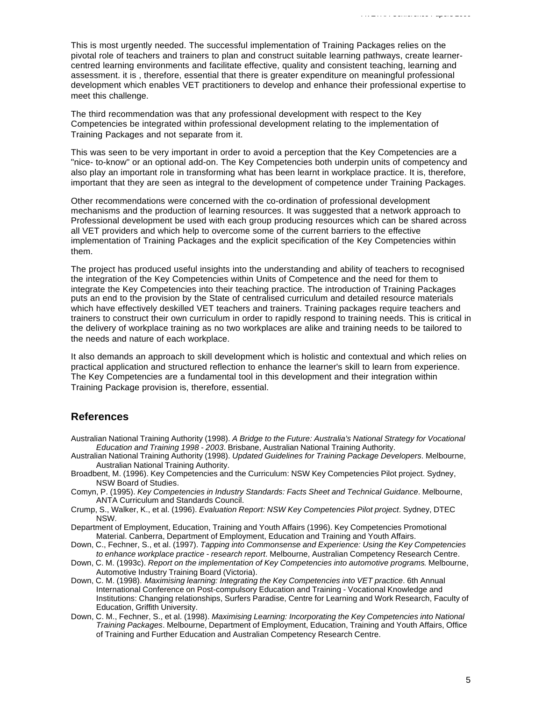This is most urgently needed. The successful implementation of Training Packages relies on the pivotal role of teachers and trainers to plan and construct suitable learning pathways, create learnercentred learning environments and facilitate effective, quality and consistent teaching, learning and assessment. it is , therefore, essential that there is greater expenditure on meaningful professional development which enables VET practitioners to develop and enhance their professional expertise to meet this challenge.

The third recommendation was that any professional development with respect to the Key Competencies be integrated within professional development relating to the implementation of Training Packages and not separate from it.

This was seen to be very important in order to avoid a perception that the Key Competencies are a "nice- to-know" or an optional add-on. The Key Competencies both underpin units of competency and also play an important role in transforming what has been learnt in workplace practice. It is, therefore, important that they are seen as integral to the development of competence under Training Packages.

Other recommendations were concerned with the co-ordination of professional development mechanisms and the production of learning resources. It was suggested that a network approach to Professional development be used with each group producing resources which can be shared across all VET providers and which help to overcome some of the current barriers to the effective implementation of Training Packages and the explicit specification of the Key Competencies within them.

The project has produced useful insights into the understanding and ability of teachers to recognised the integration of the Key Competencies within Units of Competence and the need for them to integrate the Key Competencies into their teaching practice. The introduction of Training Packages puts an end to the provision by the State of centralised curriculum and detailed resource materials which have effectively deskilled VET teachers and trainers. Training packages require teachers and trainers to construct their own curriculum in order to rapidly respond to training needs. This is critical in the delivery of workplace training as no two workplaces are alike and training needs to be tailored to the needs and nature of each workplace.

It also demands an approach to skill development which is holistic and contextual and which relies on practical application and structured reflection to enhance the learner's skill to learn from experience. The Key Competencies are a fundamental tool in this development and their integration within Training Package provision is, therefore, essential.

# **References**

- Australian National Training Authority (1998). *A Bridge to the Future: Australia's National Strategy for Vocational Education and Training 1998 - 2003*. Brisbane, Australian National Training Authority.
- Australian National Training Authority (1998). *Updated Guidelines for Training Package Developers*. Melbourne, Australian National Training Authority.
- Broadbent, M. (1996). Key Competencies and the Curriculum: NSW Key Competencies Pilot project. Sydney, NSW Board of Studies.
- Comyn, P. (1995). *Key Competencies in Industry Standards: Facts Sheet and Technical Guidance*. Melbourne, ANTA Curriculum and Standards Council.
- Crump, S., Walker, K., et al. (1996). *Evaluation Report: NSW Key Competencies Pilot project*. Sydney, DTEC NSW.
- Department of Employment, Education, Training and Youth Affairs (1996). Key Competencies Promotional Material. Canberra, Department of Employment, Education and Training and Youth Affairs.
- Down, C., Fechner, S., et al. (1997). *Tapping into Commonsense and Experience: Using the Key Competencies to enhance workplace practice - research report*. Melbourne, Australian Competency Research Centre.
- Down, C. M. (1993c). *Report on the implementation of Key Competencies into automotive programs*. Melbourne, Automotive Industry Training Board (Victoria).
- Down, C. M. (1998). *Maximising learning: Integrating the Key Competencies into VET practice*. 6th Annual International Conference on Post-compulsory Education and Training - Vocational Knowledge and Institutions: Changing relationships, Surfers Paradise, Centre for Learning and Work Research, Faculty of Education, Griffith University.
- Down, C. M., Fechner, S., et al. (1998). *Maximising Learning: Incorporating the Key Competencies into National Training Packages*. Melbourne, Department of Employment, Education, Training and Youth Affairs, Office of Training and Further Education and Australian Competency Research Centre.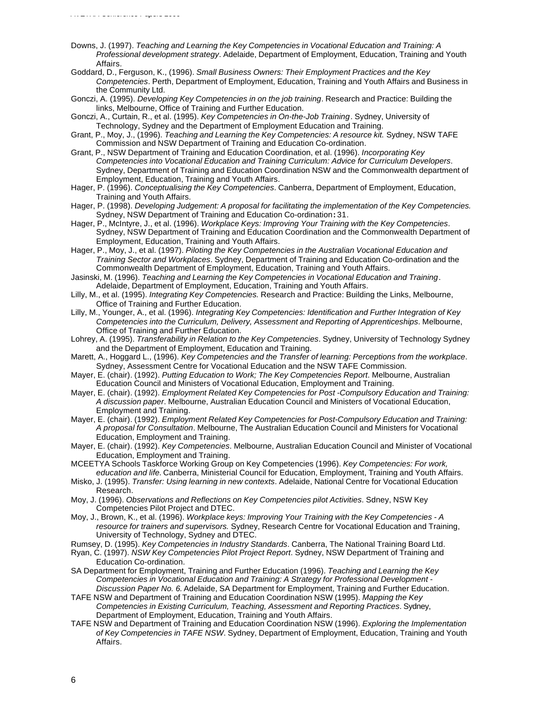- Downs, J. (1997). *Teaching and Learning the Key Competencies in Vocational Education and Training: A Professional development strategy*. Adelaide, Department of Employment, Education, Training and Youth Affairs.
- Goddard, D., Ferguson, K., (1996). *Small Business Owners: Their Employment Practices and the Key Competencies*. Perth, Department of Employment, Education, Training and Youth Affairs and Business in the Community Ltd.
- Gonczi, A. (1995). *Developing Key Competencies in on the job training*. Research and Practice: Building the links, Melbourne, Office of Training and Further Education.
- Gonczi, A., Curtain, R., et al. (1995). *Key Competencies in On-the-Job Training*. Sydney, University of Technology, Sydney and the Department of Employment Education and Training.
- Grant, P., Moy, J., (1996). *Teaching and Learning the Key Competencies: A resource kit.* Sydney, NSW TAFE Commission and NSW Department of Training and Education Co-ordination.
- Grant, P., NSW Department of Training and Education Coordination, et al. (1996). *Incorporating Key Competencies into Vocational Education and Training Curriculum: Advice for Curriculum Developers*. Sydney, Department of Training and Education Coordination NSW and the Commonwealth department of Employment, Education, Training and Youth Affairs.
- Hager, P. (1996). *Conceptualising the Key Competencies*. Canberra, Department of Employment, Education, Training and Youth Affairs.
- Hager, P. (1998). *Developing Judgement: A proposal for facilitating the implementation of the Key Competencies.* Sydney, NSW Department of Training and Education Co-ordination**:** 31.
- Hager, P., McIntyre, J., et al. (1996). *Workplace Keys: Improving Your Training with the Key Competencies*. Sydney, NSW Department of Training and Education Coordination and the Commonwealth Department of Employment, Education, Training and Youth Affairs.
- Hager, P., Moy, J., et al. (1997). *Piloting the Key Competencies in the Australian Vocational Education and Training Sector and Workplaces*. Sydney, Department of Training and Education Co-ordination and the Commonwealth Department of Employment, Education, Training and Youth Affairs.
- Jasinski, M. (1996). *Teaching and Learning the Key Competencies in Vocational Education and Training*. Adelaide, Department of Employment, Education, Training and Youth Affairs.
- Lilly, M., et al. (1995). *Integrating Key Competencies.* Research and Practice: Building the Links, Melbourne, Office of Training and Further Education.
- Lilly, M., Younger, A., et al. (1996). *Integrating Key Competencies: Identification and Further Integration of Key Competencies into the Curriculum, Delivery, Assessment and Reporting of Apprenticeships*. Melbourne, Office of Training and Further Education.
- Lohrey, A. (1995). *Transferability in Relation to the Key Competencies*. Sydney, University of Technology Sydney and the Department of Employment, Education and Training.
- Marett, A., Hoggard L., (1996). *Key Competencies and the Transfer of learning: Perceptions from the workplace*. Sydney, Assessment Centre for Vocational Education and the NSW TAFE Commission.
- Mayer, E. (chair). (1992). *Putting Education to Work; The Key Competencies Report*. Melbourne, Australian Education Council and Ministers of Vocational Education, Employment and Training.
- Mayer, E. (chair). (1992). *Employment Related Key Competencies for Post -Compulsory Education and Training: A discussion paper*. Melbourne, Australian Education Council and Ministers of Vocational Education, Employment and Training.
- Mayer, E. (chair). (1992). *Employment Related Key Competencies for Post-Compulsory Education and Training: A proposal for Consultation*. Melbourne, The Australian Education Council and Ministers for Vocational Education, Employment and Training.
- Mayer, E. (chair). (1992). *Key Competencies*. Melbourne, Australian Education Council and Minister of Vocational Education, Employment and Training.
- MCEETYA Schools Taskforce Working Group on Key Competencies (1996). *Key Competencies: For work, education and life.* Canberra, Ministerial Council for Education, Employment, Training and Youth Affairs.
- Misko, J. (1995). *Transfer: Using learning in new contexts*. Adelaide, National Centre for Vocational Education Research.
- Moy, J. (1996). *Observations and Reflections on Key Competencies pilot Activities*. Sdney, NSW Key Competencies Pilot Project and DTEC.
- Moy, J., Brown, K., et al. (1996). *Workplace keys: Improving Your Training with the Key Competencies A resource for trainers and supervisors.* Sydney, Research Centre for Vocational Education and Training, University of Technology, Sydney and DTEC.
- Rumsey, D. (1995). *Key Competencies in Industry Standards*. Canberra, The National Training Board Ltd.
- Ryan, C. (1997). *NSW Key Competencies Pilot Project Report*. Sydney, NSW Department of Training and Education Co-ordination.
- SA Department for Employment, Training and Further Education (1996). *Teaching and Learning the Key Competencies in Vocational Education and Training: A Strategy for Professional Development - Discussion Paper No. 6.* Adelaide, SA Department for Employment, Training and Further Education.
- TAFE NSW and Department of Training and Education Coordination NSW (1995). *Mapping the Key Competencies in Existing Curriculum, Teaching, Assessment and Reporting Practices*. Sydney, Department of Employment, Education, Training and Youth Affairs.
- TAFE NSW and Department of Training and Education Coordination NSW (1996). *Exploring the Implementation of Key Competencies in TAFE NSW*. Sydney, Department of Employment, Education, Training and Youth Affairs.